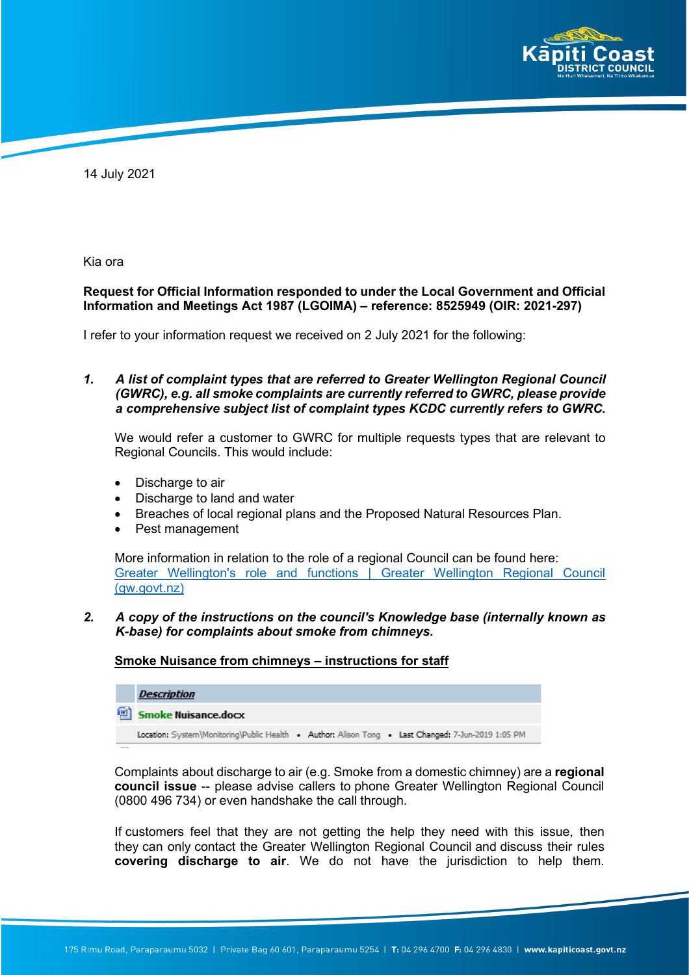

14 July 2021

Kia ora

#### **Request for Official Information responded to under the Local Government and Official Information and Meetings Act 1987 (LGOIMA) – reference: 8525949 (OIR: 2021-297)**

I refer to your information request we received on 2 July 2021 for the following:

*1. A list of complaint types that are referred to Greater Wellington Regional Council (GWRC), e.g. all smoke complaints are currently referred to GWRC, please provide a comprehensive subject list of complaint types KCDC currently refers to GWRC.*

We would refer a customer to GWRC for multiple requests types that are relevant to Regional Councils. This would include:

- Discharge to air
- Discharge to land and water
- Breaches of local regional plans and the Proposed Natural Resources Plan.
- Pest management

More information in relation to the role of a regional Council can be found here: [Greater Wellington's role and functions | Greater Wellington Regional Council](https://www.gw.govt.nz/greater-wellington-s-role-and-functions/#:%7E:text=Greater%20Wellington%20Regional%20Council%20promotes,social%20needs%20of%20the%20community.&text=The%20Council%20is%20responsible%20for,activities%20of%20the%20Greater%20Wellington.)  [\(gw.govt.nz\)](https://www.gw.govt.nz/greater-wellington-s-role-and-functions/#:%7E:text=Greater%20Wellington%20Regional%20Council%20promotes,social%20needs%20of%20the%20community.&text=The%20Council%20is%20responsible%20for,activities%20of%20the%20Greater%20Wellington.)

# *2. A copy of the instructions on the council's Knowledge base (internally known as K-base) for complaints about smoke from chimneys.*

#### **Smoke Nuisance from chimneys – instructions for staff**

| <b>Description</b>                                                                                 |  |  |
|----------------------------------------------------------------------------------------------------|--|--|
| Smoke Nuisance.docx                                                                                |  |  |
| Location: System\Monitoring\Public Health . Author: Alison Tong . Last Changed: 7-Jun-2019 1:05 PM |  |  |

Complaints about discharge to air (e.g. Smoke from a domestic chimney) are a **regional council issue** -- please advise callers to phone Greater Wellington Regional Council (0800 496 734) or even handshake the call through.

If customers feel that they are not getting the help they need with this issue, then they can only contact the Greater Wellington Regional Council and discuss their rules **covering discharge to air**. We do not have the jurisdiction to help them.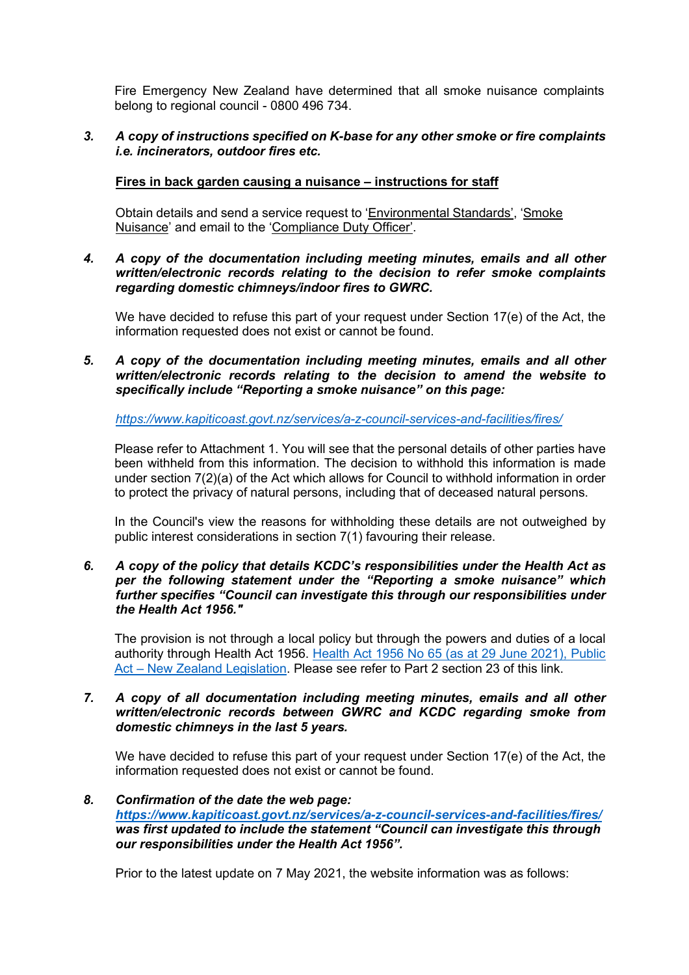Fire Emergency New Zealand have determined that all smoke nuisance complaints belong to regional council - 0800 496 734.

# *3. A copy of instructions specified on K-base for any other smoke or fire complaints i.e. incinerators, outdoor fires etc.*

# **Fires in back garden causing a nuisance – instructions for staff**

Obtain details and send a service request to 'Environmental Standards', 'Smoke Nuisance' and email to the 'Compliance Duty Officer'.

*4. A copy of the documentation including meeting minutes, emails and all other written/electronic records relating to the decision to refer smoke complaints regarding domestic chimneys/indoor fires to GWRC.*

We have decided to refuse this part of your request under Section 17(e) of the Act, the information requested does not exist or cannot be found.

*5. A copy of the documentation including meeting minutes, emails and all other written/electronic records relating to the decision to amend the website to specifically include "Reporting a smoke nuisance" on this page:*

*<https://www.kapiticoast.govt.nz/services/a-z-council-services-and-facilities/fires/>*

Please refer to Attachment 1. You will see that the personal details of other parties have been withheld from this information. The decision to withhold this information is made under section 7(2)(a) of the Act which allows for Council to withhold information in order to protect the privacy of natural persons, including that of deceased natural persons.

In the Council's view the reasons for withholding these details are not outweighed by public interest considerations in section 7(1) favouring their release.

*6. A copy of the policy that details KCDC's responsibilities under the Health Act as per the following statement under the "Reporting a smoke nuisance" which further specifies "Council can investigate this through our responsibilities under the Health Act 1956."*

The provision is not through a local policy but through the powers and duties of a local authority through Health Act 1956. [Health Act 1956 No 65 \(as at 29 June 2021\), Public](https://www.legislation.govt.nz/act/public/1956/0065/latest/whole.html#DLM306679) [Act – New Zealand Legislation.](https://www.legislation.govt.nz/act/public/1956/0065/latest/whole.html#DLM306679) Please see refer to Part 2 section 23 of this link.

#### *7. A copy of all documentation including meeting minutes, emails and all other written/electronic records between GWRC and KCDC regarding smoke from domestic chimneys in the last 5 years.*

We have decided to refuse this part of your request under Section 17(e) of the Act, the information requested does not exist or cannot be found.

# *8. Confirmation of the date the web page: <https://www.kapiticoast.govt.nz/services/a-z-council-services-and-facilities/fires/> was first updated to include the statement "Council can investigate this through our responsibilities under the Health Act 1956".*

Prior to the latest update on 7 May 2021, the website information was as follows: